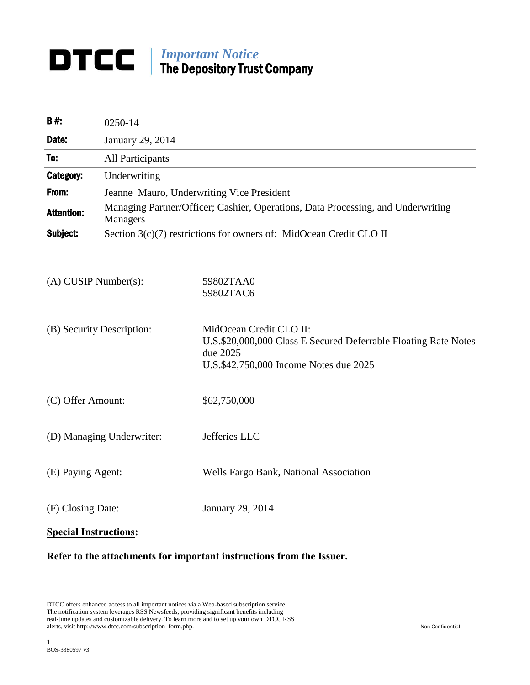# **IMPORTANT CONTRACT The Department Trust** The Depository Trust Company

| <b>B#:</b>        | 0250-14                                                                                      |
|-------------------|----------------------------------------------------------------------------------------------|
| Date:             | January 29, 2014                                                                             |
| To:               | All Participants                                                                             |
| <b>Category:</b>  | Underwriting                                                                                 |
| From:             | Jeanne Mauro, Underwriting Vice President                                                    |
| <b>Attention:</b> | Managing Partner/Officer; Cashier, Operations, Data Processing, and Underwriting<br>Managers |
| Subject:          | Section 3(c)(7) restrictions for owners of: MidOcean Credit CLO II                           |

- (A) CUSIP Number(s): 59802TAA0 59802TAC6
- (B) Security Description: MidOcean Credit CLO II: U.S.\$20,000,000 Class E Secured Deferrable Floating Rate Notes due 2025 U.S.\$42,750,000 Income Notes due 2025
- (C) Offer Amount: \$62,750,000
- (D) Managing Underwriter: Jefferies LLC
- (E) Paying Agent: Wells Fargo Bank, National Association
- (F) Closing Date: January 29, 2014

# **Special Instructions:**

## **Refer to the attachments for important instructions from the Issuer.**

DTCC offers enhanced access to all important notices via a Web-based subscription service. The notification system leverages RSS Newsfeeds, providing significant benefits including real-time updates and customizable delivery. To learn more and to set up your own DTCC RSS alerts, visit http://www.dtcc.com/subscription\_form.php. Non-Confidential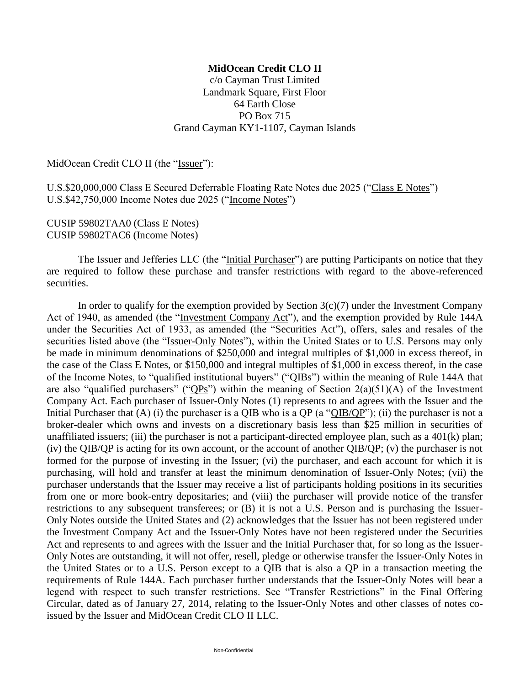## **MidOcean Credit CLO II**

c/o Cayman Trust Limited Landmark Square, First Floor 64 Earth Close PO Box 715 Grand Cayman KY1-1107, Cayman Islands

MidOcean Credit CLO II (the "Issuer"):

U.S.\$20,000,000 Class E Secured Deferrable Floating Rate Notes due 2025 ("Class E Notes") U.S.\$42,750,000 Income Notes due 2025 ("Income Notes")

CUSIP 59802TAA0 (Class E Notes) CUSIP 59802TAC6 (Income Notes)

The Issuer and Jefferies LLC (the "Initial Purchaser") are putting Participants on notice that they are required to follow these purchase and transfer restrictions with regard to the above-referenced securities.

In order to qualify for the exemption provided by Section  $3(c)(7)$  under the Investment Company Act of 1940, as amended (the "Investment Company Act"), and the exemption provided by Rule 144A under the Securities Act of 1933, as amended (the "Securities Act"), offers, sales and resales of the securities listed above (the "Issuer-Only Notes"), within the United States or to U.S. Persons may only be made in minimum denominations of \$250,000 and integral multiples of \$1,000 in excess thereof, in the case of the Class E Notes, or \$150,000 and integral multiples of \$1,000 in excess thereof, in the case of the Income Notes, to "qualified institutional buyers" ("QIBs") within the meaning of Rule 144A that are also "qualified purchasers" (" $QPS$ ") within the meaning of Section  $2(a)(51)(A)$  of the Investment Company Act. Each purchaser of Issuer-Only Notes (1) represents to and agrees with the Issuer and the Initial Purchaser that  $(A)$  (i) the purchaser is a QIB who is a QP (a "QIB/QP"); (ii) the purchaser is not a broker-dealer which owns and invests on a discretionary basis less than \$25 million in securities of unaffiliated issuers; (iii) the purchaser is not a participant-directed employee plan, such as a 401(k) plan; (iv) the QIB/QP is acting for its own account, or the account of another QIB/QP; (v) the purchaser is not formed for the purpose of investing in the Issuer; (vi) the purchaser, and each account for which it is purchasing, will hold and transfer at least the minimum denomination of Issuer-Only Notes; (vii) the purchaser understands that the Issuer may receive a list of participants holding positions in its securities from one or more book-entry depositaries; and (viii) the purchaser will provide notice of the transfer restrictions to any subsequent transferees; or (B) it is not a U.S. Person and is purchasing the Issuer-Only Notes outside the United States and (2) acknowledges that the Issuer has not been registered under the Investment Company Act and the Issuer-Only Notes have not been registered under the Securities Act and represents to and agrees with the Issuer and the Initial Purchaser that, for so long as the Issuer-Only Notes are outstanding, it will not offer, resell, pledge or otherwise transfer the Issuer-Only Notes in the United States or to a U.S. Person except to a QIB that is also a QP in a transaction meeting the requirements of Rule 144A. Each purchaser further understands that the Issuer-Only Notes will bear a legend with respect to such transfer restrictions. See "Transfer Restrictions" in the Final Offering Circular, dated as of January 27, 2014, relating to the Issuer-Only Notes and other classes of notes coissued by the Issuer and MidOcean Credit CLO II LLC.